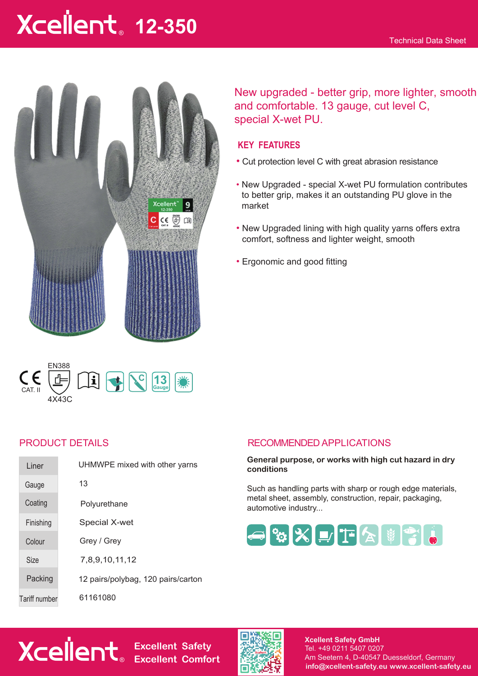# **12-350** ®



New upgraded - better grip, more lighter, smooth and comfortable. 13 gauge, cut level C, special X-wet PU.

# **KEY FEATURES**

- Cut protection level C with great abrasion resistance
- New Upgraded special X-wet PU formulation contributes to better grip, makes it an outstanding PU glove in the market
- New Upgraded lining with high quality yarns offers extra comfort, softness and lighter weight, smooth
- Ergonomic and good fitting



| Liner         | UHMWPE mixed with other yarns      |
|---------------|------------------------------------|
| Gauge         | 13                                 |
| Coating       | Polyurethane                       |
| Finishing     | Special X-wet                      |
| Colour        | Grey / Grey                        |
| Size          | 7,8,9,10,11,12                     |
| Packing       | 12 pairs/polybag, 120 pairs/carton |
| Tariff number | 61161080                           |

# PRODUCT DETAILS RECOMMENDED APPLICATIONS

#### **General purpose, or works with high cut hazard in dry conditions**

Such as handling parts with sharp or rough edge materials, metal sheet, assembly, construction, repair, packaging, automotive industry...